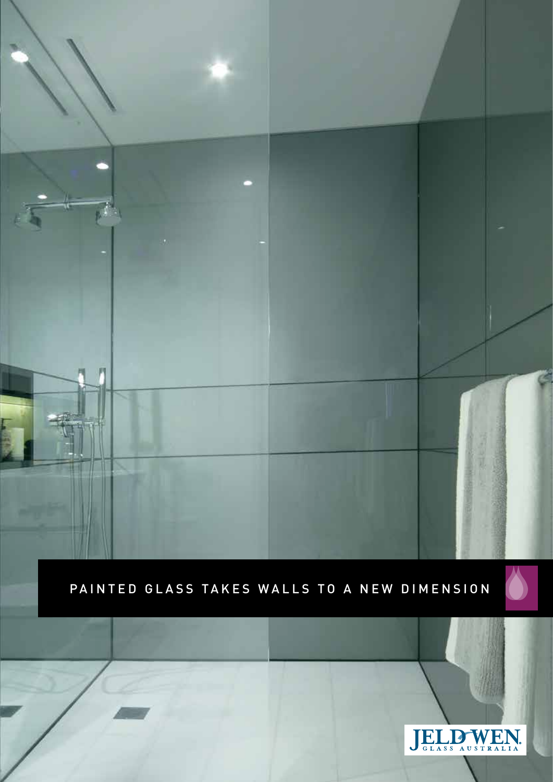PAINTED GLASS TAKES WALLS TO A NEW DIMENSION

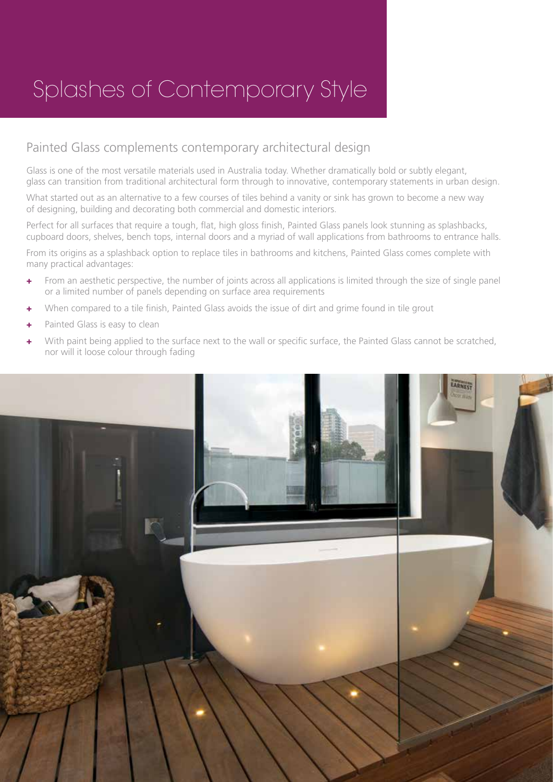## Splashes of Contemporary Style

#### Painted Glass complements contemporary architectural design

Glass is one of the most versatile materials used in Australia today. Whether dramatically bold or subtly elegant, glass can transition from traditional architectural form through to innovative, contemporary statements in urban design.

What started out as an alternative to a few courses of tiles behind a vanity or sink has grown to become a new way of designing, building and decorating both commercial and domestic interiors.

Perfect for all surfaces that require a tough, flat, high gloss finish, Painted Glass panels look stunning as splashbacks, cupboard doors, shelves, bench tops, internal doors and a myriad of wall applications from bathrooms to entrance halls.

From its origins as a splashback option to replace tiles in bathrooms and kitchens, Painted Glass comes complete with many practical advantages:

- + From an aesthetic perspective, the number of joints across all applications is limited through the size of single panel or a limited number of panels depending on surface area requirements
- + When compared to a tile finish, Painted Glass avoids the issue of dirt and grime found in tile grout
- Painted Glass is easy to clean
- With paint being applied to the surface next to the wall or specific surface, the Painted Glass cannot be scratched, nor will it loose colour through fading

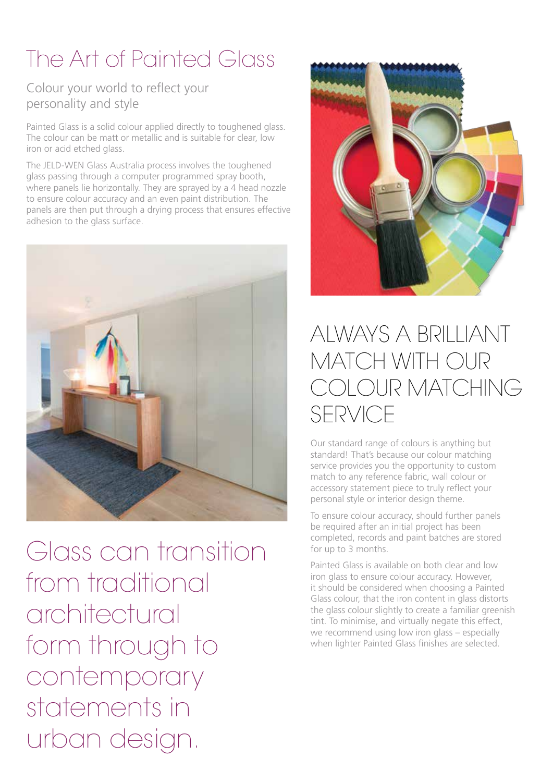# The Art of Painted Glass

#### Colour your world to reflect your personality and style

Painted Glass is a solid colour applied directly to toughened glass. The colour can be matt or metallic and is suitable for clear, low iron or acid etched glass.

The JELD-WEN Glass Australia process involves the toughened glass passing through a computer programmed spray booth, where panels lie horizontally. They are sprayed by a 4 head nozzle to ensure colour accuracy and an even paint distribution. The panels are then put through a drying process that ensures effective adhesion to the glass surface.



Glass can transition from traditional architectural form through to contemporary statements in urban design.



### ALWAYS A BRILLIANT MATCH WITH OUR COLOUR MATCHING SERVICE

Our standard range of colours is anything but standard! That's because our colour matching service provides you the opportunity to custom match to any reference fabric, wall colour or accessory statement piece to truly reflect your personal style or interior design theme.

To ensure colour accuracy, should further panels be required after an initial project has been completed, records and paint batches are stored for up to 3 months.

Painted Glass is available on both clear and low iron glass to ensure colour accuracy. However, it should be considered when choosing a Painted Glass colour, that the iron content in glass distorts the glass colour slightly to create a familiar greenish tint. To minimise, and virtually negate this effect, we recommend using low iron glass – especially when lighter Painted Glass finishes are selected.